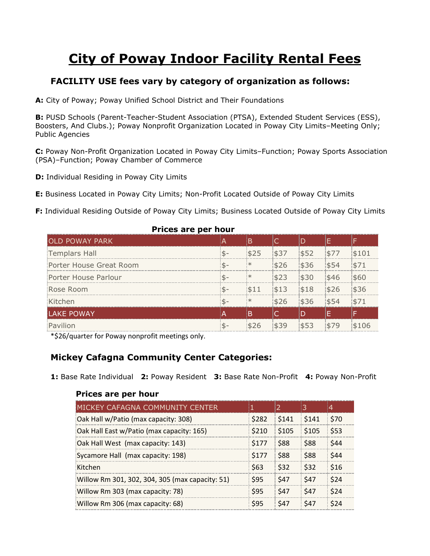# **City of Poway Indoor Facility Rental Fees**

# **FACILITY USE fees vary by category of organization as follows:**

**A:** City of Poway; Poway Unified School District and Their Foundations

**B:** PUSD Schools (Parent-Teacher-Student Association (PTSA), Extended Student Services (ESS), Boosters, And Clubs.); Poway Nonprofit Organization Located in Poway City Limits–Meeting Only; Public Agencies

**C:** Poway Non-Profit Organization Located in Poway City Limits–Function; Poway Sports Association (PSA)–Function; Poway Chamber of Commerce

**D:** Individual Residing in Poway City Limits

**E:** Business Located in Poway City Limits; Non-Profit Located Outside of Poway City Limits

**F:** Individual Residing Outside of Poway City Limits; Business Located Outside of Poway City Limits

| <b>FIILES AIE PEI IIUUI</b> |      |        |      |      |      |       |  |
|-----------------------------|------|--------|------|------|------|-------|--|
| OLD POWAY PARK              |      | B      |      |      |      |       |  |
| Templars Hall               | $$-$ | \$25   | \$37 | \$52 | \$77 | \$101 |  |
| Porter House Great Room     | $$-$ | $\ast$ | \$26 | \$36 | \$54 | \$71  |  |
| Porter House Parlour        | $$-$ | $\ast$ | \$23 | \$30 | \$46 | \$60  |  |
| Rose Room                   | $$-$ | \$11   | \$13 | \$18 | \$26 | \$36  |  |
| Kitchen                     | $$-$ | $\ast$ | \$26 | \$36 | \$54 | \$71  |  |
| LAKE POWAY                  | ۱A   | B      |      | D    |      |       |  |
| Pavilion                    | $$-$ | \$26   | \$39 | \$53 | \$79 | \$106 |  |

#### **Prices are per hour**

\*\$26/quarter for Poway nonprofit meetings only.

# **Mickey Cafagna Community Center Categories:**

**1:** Base Rate Individual **2:** Poway Resident **3:** Base Rate Non-Profit **4:** Poway Non-Profit

| MICKEY CAFAGNA COMMUNITY CENTER                 |       | $\overline{2}$ | 3     | $\overline{4}$ |
|-------------------------------------------------|-------|----------------|-------|----------------|
| Oak Hall w/Patio (max capacity: 308)            | \$282 | \$141          | \$141 | \$70           |
| Oak Hall East w/Patio (max capacity: 165)       | \$210 | \$105          | \$105 | \$53           |
| Oak Hall West (max capacity: 143)               | \$177 | \$88           | \$88  | \$44           |
| Sycamore Hall (max capacity: 198)               | \$177 | \$88           | \$88  | \$44           |
| Kitchen                                         | \$63  | \$32           | \$32  | \$16           |
| Willow Rm 301, 302, 304, 305 (max capacity: 51) | \$95  | \$47           | \$47  | \$24           |
| Willow Rm 303 (max capacity: 78)                | \$95  | \$47           | \$47  | \$24           |
| Willow Rm 306 (max capacity: 68)                | \$95  | \$47           | \$47  | \$24           |
|                                                 |       |                |       |                |

## **Prices are per hour**